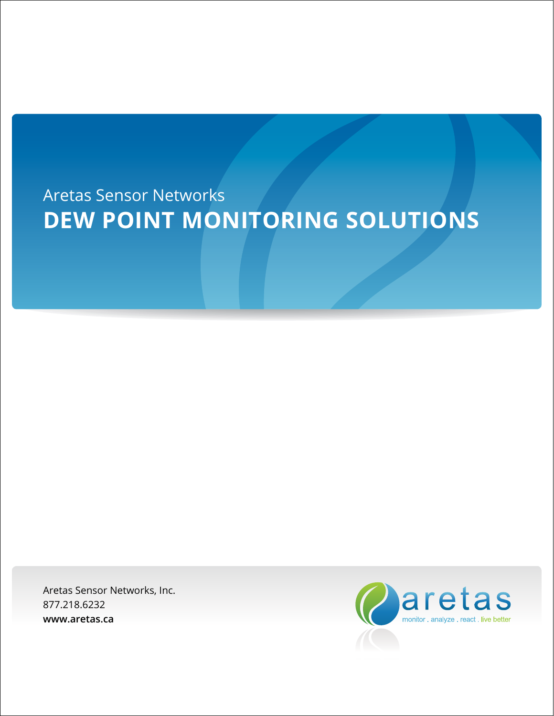# Aretas Sensor Networks **Dew Point monitoring Solutions**

Aretas Sensor Networks, Inc. Aretas Sensor Networks, Inc. 877.218.6232 www.aretas.ca

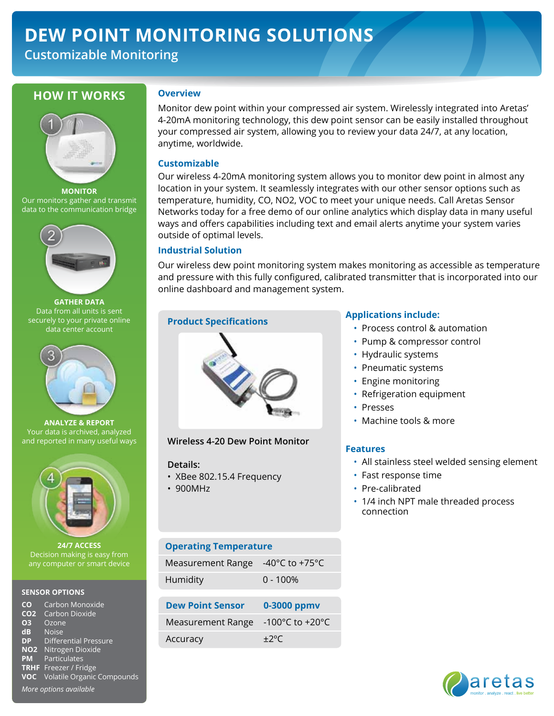# **Dew Point monitoring Solutions**

**Customizable Monitoring**

#### **How it Works**



**Monitor** Our monitors gather and transmit data to the communication bridge



**Gather Data** Data from all units is sent securely to your private online data center account



**Analyze & Report** Your data is archived, analyzed and reported in many useful ways



**24/7 Access** Decision making is easy from

#### **Sensor Options**

| <b>CO</b>              | Carbon Monoxide              |  |
|------------------------|------------------------------|--|
| CO <sub>2</sub>        | <b>Carbon Dioxide</b>        |  |
| O <sub>3</sub>         | Ozone                        |  |
| dB                     | <b>Noise</b>                 |  |
| <b>DP</b>              | Differential Pressure        |  |
|                        | <b>NO2</b> Nitrogen Dioxide  |  |
| <b>PM</b>              | Particulates                 |  |
|                        | <b>TRHF</b> Freezer / Fridge |  |
| <b>VOC</b>             | Volatile Organic Compounds   |  |
| More options available |                              |  |

#### **Overview**

Monitor dew point within your compressed air system. Wirelessly integrated into Aretas' 4-20mA monitoring technology, this dew point sensor can be easily installed throughout your compressed air system, allowing you to review your data 24/7, at any location, anytime, worldwide.

#### **Customizable**

Our wireless 4-20mA monitoring system allows you to monitor dew point in almost any location in your system. It seamlessly integrates with our other sensor options such as temperature, humidity, CO, NO2, VOC to meet your unique needs. Call Aretas Sensor Networks today for a free demo of our online analytics which display data in many useful ways and offers capabilities including text and email alerts anytime your system varies outside of optimal levels.

#### **Industrial Solution**

Our wireless dew point monitoring system makes monitoring as accessible as temperature and pressure with this fully configured, calibrated transmitter that is incorporated into our online dashboard and management system.

#### **Product Specifications**



#### **Wireless 4-20 Dew Point Monitor**

#### **Details:**

- XBee 802.15.4 Frequency
- 900MHz

#### **Operating Temperature**

| DEW POINT SENSOL                  | <b>U-SUUU PPIIIV</b> |
|-----------------------------------|----------------------|
| Measurement Range -100°C to +20°C |                      |
| Accuracy                          | $+2^{\circ}C$        |

#### **Applications include:**

- Process control & automation
- Pump & compressor control
- Hydraulic systems
- Pneumatic systems
- Engine monitoring
- Refrigeration equipment
- Presses
- Machine tools & more

#### **Features**

- All stainless steel welded sensing element
- Fast response time
- Pre-calibrated
- 1/4 inch NPT male threaded process connection